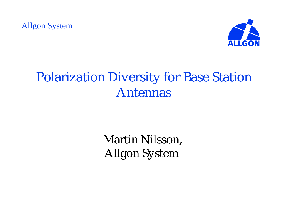Allgon System



## Polarization Diversity for Base Station Antennas

Martin Nilsson, Allgon System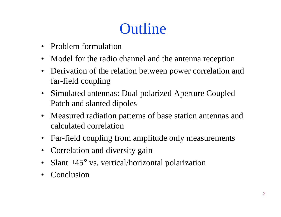# **Outline**

- Problem formulation
- Model for the radio channel and the antenna reception
- Derivation of the relation between power correlation and far-field coupling
- Simulated antennas: Dual polarized Aperture Coupled Patch and slanted dipoles
- Measured radiation patterns of base station antennas and calculated correlation
- Far-field coupling from amplitude only measurements
- Correlation and diversity gain
- Slant  $\pm$ 45° vs. vertical/horizontal polarization
- Conclusion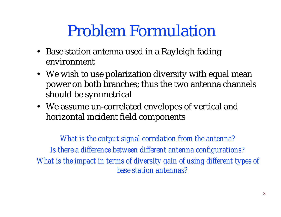# Problem Formulation

- Base station antenna used in a Rayleigh fading environment
- We wish to use polarization diversity with equal mean power on both branches; thus the two antenna channels should be symmetrical
- We assume un-correlated envelopes of vertical and horizontal incident field components

*What is the output signal correlation from the antenna? Is there a difference between different antenna configurations? What is the impact in terms of diversity gain of using different types of base station antennas?*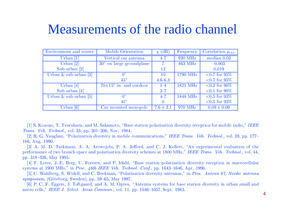#### Measurements of the radio channel

| <b>Mobile Orientation</b>         | $\chi$ (dB)   | Frequency      | Correlation $\rho_{env}$                |
|-----------------------------------|---------------|----------------|-----------------------------------------|
| Vertical car antenna              | $4 - 7$       | <b>920 MHz</b> | $median\ 0.02$                          |
| $30^{\circ}$ on large groundplane | 7.            | 463 MHz        | $-0.003$                                |
|                                   | 12            |                | 0.019                                   |
| $0^{\circ}$                       | 10            | 1790 MHz       | $\langle 0.7$ for 95%                   |
| $45^{\circ}$                      | $4.6 - 6.3$   |                | $\langle 0.7$ for 95%                   |
| $70\pm15^{\circ}$ in- and outdoor | $1-4$         | 1821 MHz       | $\langle 0.2 \text{ for } 90\% \rangle$ |
|                                   | $2 - 7$       |                | $\langle 0.1 \text{ for } 90\%$         |
| $0^{\circ}$                       | $4 - 7$       | 1848 MHz       | $\langle 0.5 \text{ for } 93\% \rangle$ |
| $45^{\circ}$                      |               |                | $\langle 0.5 \text{ for } 93\% \rangle$ |
| Car mounted monopole              | $7.6 \pm 2.1$ | 970 MHz        | $0.09 \pm 0.09$                         |
|                                   |               |                |                                         |
|                                   |               |                |                                         |
|                                   |               |                |                                         |

[1] S. Kozono, T. Tsuruhara, and M. Sakamoto, "Base station polarization diversity reception for mobile radio," [1] S. Kozono, T. Tsuruhara, and M. Sakamoto, "Base station polarization diversity reception for mobile radio," *IEEE*<br>ans. *Veh. Technol*., vol. 33, pp. 301–306, Nov. 1984.<br>[2] R. G. Vaughan, "Polarization diversity in mo  $\emph{Trans. Veh. Technol., vol. 33, pp. 301–306, Nov.}$ 

 186, Aug. $\begin{aligned} \textit{IEEE Trans.} \ \textit{I} & \textit{IEEE Trans.} \ \textit{I} & \textit{E} & \textit{E} & \textit{I} \ \textit{E} & \textit{E} & \textit{I} \ \textit{E} & \textit{E} & \textit{I} \ \textit{E} & \textit{E} & \textit{I} \ \textit{E} & \textit{I} \end{aligned}$ 

6, Aug. 1990.<br>[3] A. M. D. Turkmani, A. A. Arowojolu, P. ] A. M. D. Turkmani, A. A. Arowojolu, P. A. Jefford, and C. J. Kellett, "An experimental evaluation of the<br>ormance of two branch space and polarization diversity schemes at 1800 MHz," *IEEE Trans. Veh. Technol.*, vol. 44,<br> performance of two branch space and polarization diversity schemes at 1800 MHz," IEEE Trans. Veh. Technol., vol. 44,  $\begin{aligned} \text{IEEE Trans.} \ \text{1}\ \text{diversity rec} \ \text{Ans. } 1006 \end{aligned}$ pp. 318–326, May 1995.

[4] F. Lotse, J.-E. Berg, U. Forssen, and P. Idahl, "Base station polarization diversity reception in macrocellular ] F. Lotse, J.-E. Berg, U. Forssen, and P. Idahl, "Base station polarization diversit<br>ems at 1900 MHz," in *Proc. 46th IEEE Veh. Technol. Conf.*, pp. 1643–1646, Apr. 199<br>] U. Wahlberg, S. Widell, and C. Beckman, "Polarizat y reception in macrocellular<br>06.<br>Antenn 97, Nordic antenna systems at 1900 MHz," in Proc.  $46th$  IEEE Veh. Technol.

 $symposium,$  (Göteborg, Sweden), pp. 59–65, May 1997. stems at 1900 MHz," in *Proc. 46th IEEE Veh. Technol. Conf.*, pp. 1643–1646, Apr. 1996.<br>[5] U. Wahlberg, S. Widell, and C. Beckman, "Polarization diversity antennas," in *Proc. Antenn 97, Nordic antenna*<br>*mposium*, (Götebo  $\frac{Pr}{\text{static}}$ 

[6] P. C. F. Eggers, J. Toftgaard, and A. M. Oprea, "Antenna systems for base station diversity in urban small and micro cells," *IEEE J. Select. Areas Commun.*, vol. 11, pp. 1046–1057, Sept. 1983.<br>
<sub>—</sub>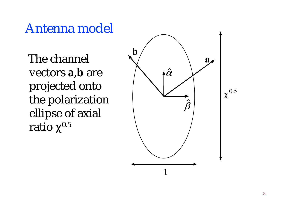Antenna model

 The channel vectors **a** , **b** are projected onto the polarization ellipse of axial ratio  $\chi^{0.5}$ 

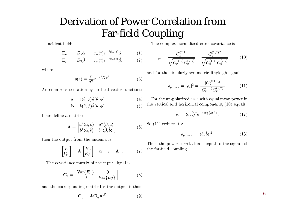#### Derivation of Power Correlation fromFar-field Coupling

Incident field:

$$
\mathbf{E}_{\alpha} = E_{\alpha} \hat{\alpha} = r_{\alpha}(t) e^{-j\phi_{\alpha}(t)} \hat{\alpha}
$$
(1)  

$$
\mathbf{E}_{\beta} = E_{\beta} \hat{\beta} = r_{\beta}(t) e^{-j\phi_{\beta}(t)} \hat{\beta}.
$$
(2)

where

$$
p(r) = \frac{r}{\sigma^2} e^{-r^2/2\sigma^2}
$$
 (3)  
station by far-field vector functions:

Antenna representation by far-field vector functions:

$$
\mathbf{a} = a(\theta, \phi) \hat{a}(\theta, \phi)
$$
(4)  

$$
\mathbf{b} = b(\theta, \phi) \hat{b}(\theta, \phi)
$$
(5)

$$
\mathbf{b} = b(\theta, \phi)\hat{b}(\theta, \phi)
$$
 (5)  
matrix:

If we define a matrix:

$$
\mathbf{b} = b(\theta, \phi) \hat{b}(\theta, \phi)
$$
(5)  
matrix:  

$$
\mathbf{A} = \begin{bmatrix} a^* \langle \hat{\alpha}, \hat{a} \rangle & a^* \langle \hat{\beta}, \hat{a} \rangle \\ b^* \langle \hat{\alpha}, \hat{b} \rangle & b^* \langle \hat{\beta}, \hat{b} \rangle \end{bmatrix}
$$
(6)  
out from the antenna is

then the output from the antenna is

$$
\begin{bmatrix} V_a \\ V_b \end{bmatrix} = \mathbf{A} \begin{bmatrix} E_{\alpha} \\ E_{\beta} \end{bmatrix}
$$
 or  $y = \mathbf{A}\eta$ . (7)  
ariance matrix of the input signal is

The covariance matrix of the input signal is

$$
\mathbf{C}_{\eta} = \begin{bmatrix} \text{Var}\{E_{\alpha}\} & 0\\ 0 & \text{Var}\{E_{\beta}\} \end{bmatrix} .
$$
 (8)  
responding matrix for the output is thus:

and the corresponding matrix for the output is thus:

$$
\mathbf{C}_y = \mathbf{A}\mathbf{C}_\eta \mathbf{A}^H
$$
 (9)

The complex normalized cross-covariance is

$$
\rho_c = \frac{C_y^{(2,1)}}{\sqrt{C_y^{(1,1)} C_y^{(2,2)}}} = \frac{C_y^{(1,2)*}}{\sqrt{C_y^{(1,1)} C_y^{(2,2)}}}
$$
(10)  
and for the circularly symmetric Rayleigh signals:

$$
\rho_{power} = |\rho_c|^2 = \frac{|C_y^{(2,1)}|^2}{|C_y^{(1,1)}C_y^{(2,2)}|}.
$$
\n(11)

 $= |\rho_c|^2 =$ <br>rized case<br>orizontal  $\left| \begin{array}{c} \mathcal{C}_y^{(1,1)} \mathcal{C}_y^{(2,2)} \end{array} \right|$  in equal moments. For the un-polarized case with equal mean power inthe vertical and horizontal components, (10) equals

$$
\rho_c = \langle \hat{a}, \hat{b} \rangle^* e^{-j \arg\{ab^*\}}.
$$
\n(12)

 $\rho_c =$ So (11) reduces to:

$$
= \langle \hat{a}, \hat{b} \rangle^* e^{-j \arg\{ab^*\}}.
$$
\n
$$
0:
$$
\n
$$
\rho_{power} = |\langle \hat{a}, \hat{b} \rangle|^2.
$$
\n(13)

 $= |\langle \hat{a}, \hat{b} \rangle|$ <br>ion is e  $\rho_{power} = |\langle \hat{a}, b \rangle|^2.$  (13)<br>Thus, the power correlation is equal to the square of the far-field coupling.

6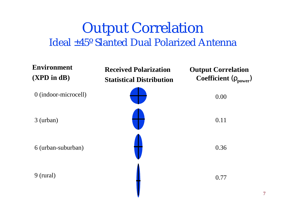#### Output Correlation Ideal ±45º Slanted Dual Polarized Antenna

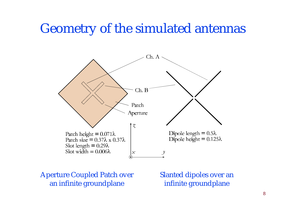#### Geometry of the simulated antennas



Aperture Coupled Patch over an infinite groundplane

Slanted dipoles over an infinite groundplane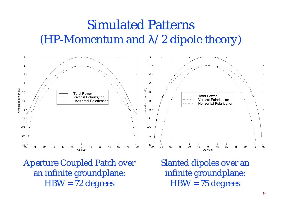#### Simulated Patterns (HP-Momentum and *l*/2 dipole theory)



Aperture Coupled Patch over an infinite groundplane: HBW = 72 degrees

Slanted dipoles over an infinite groundplane: HBW = 75 degrees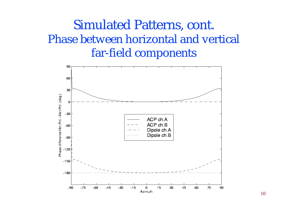#### Simulated Patterns, cont. Phase between horizontal and vertical far-field components

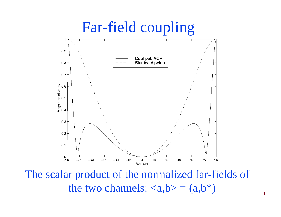

The scalar product of the normalized far-fields of the two channels:  $\langle a, b \rangle = (a, b^*)$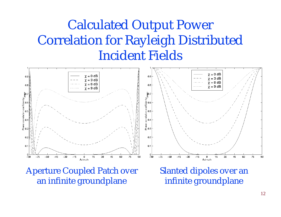## Calculated Output Power Correlation for Rayleigh Distributed Incident Fields



Aperture Coupled Patch over an infinite groundplane

Slanted dipoles over an infinite groundplane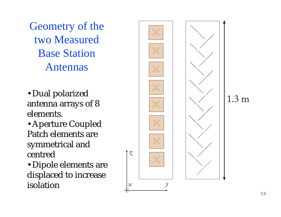Geometry of the two Measured Base Station Antennas

- •Dual polarized antenna arrays of 8 elements.
- •Aperture Coupled Patch elements are symmetrical and centred

•Dipole elements are displaced to increase isolation

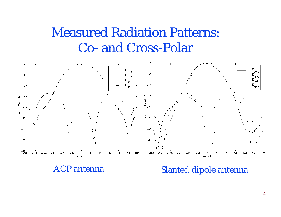### Measured Radiation Patterns: Co- and Cross-Polar



ACP antenna Slanted dipole antenna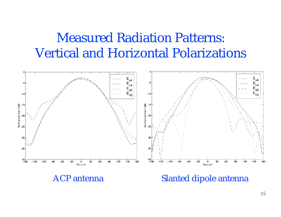#### Measured Radiation Patterns: Vertical and Horizontal Polarizations



ACP antenna Slanted dipole antenna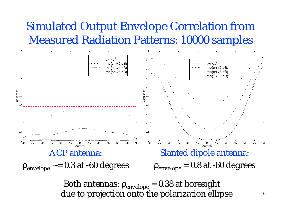#### Simulated Output Envelope Correlation from Measured Radiation Patterns: 10000 samples



due to projection onto the polarization ellipse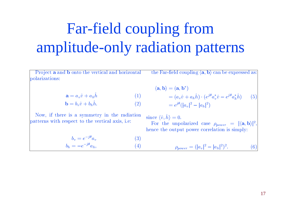# Far-field coupling from amplitude-only radiation patterns

Project **a** and **b** onto the vertical and horizontal<br>larizations:<br> $\mathbf{a} = a \hat{w} + a \hat{b}$  (1) polarizations:the Far-field coupling  $\langle \mathbf{a},\mathbf{b}\rangle$  can be expressed as:<br> $\langle \mathbf{a},\mathbf{b}\rangle = (\mathbf{a},\mathbf{b}^*)$ 

$$
\mathbf{a} = a_v \hat{v} + a_h \hat{h}
$$
 (1)  

$$
\mathbf{b} = b_v \hat{v} + b_h \hat{h}.
$$
 (2)

$$
\mathbf{a} = a_v \hat{v} + a_h h
$$
  
\n
$$
\mathbf{b} = b_v \hat{v} + b_h \hat{h}.
$$
  
\n(e) is a symmetry in the radiatic

 $\mathbf{b} = b_v \hat{v} + b_h h.$  (2)<br>Now, if there is a symmetry in the radiation<br>tterns with respect to the vertical axis, i.e:  $h\, \Omega$ firm the is a symmetry in the were set to the vertice  $\frac{d}{dt}$  with respect to the vertice patterns with respect to the vertical axis, i.e:<br>  $b_v = e^{-j\theta} a_v$ 

 $\begin{split} \langle {\bf a}, {\bf b} \rangle &= ({\bf a}, \ &= (a_i \end{split}$  $\begin{aligned} \n\lambda &= (\mathbf{a}, \mathbf{b}^*) \ &= (a_v \hat{v} + a_h \hat{h}) \cdot (e^{j\theta} a_v^* \hat{v} - \ &= e^{j\theta} (|a_v|^2 - |a_h|^2) \end{aligned}$  $\ddot{v}$  +<br> $(|a_v$  $e^{j\theta}a_h^\ast\hat h)$  $=e^{j\theta}(|a_v|^2-|a_h|^2)$ (5)

since  $\langle \hat{v}, h \rangle$ 

 $\overline{p}$  and  $\overline{p}$  and  $\overline{p}$  and  $\overline{p}$  $\frac{|v|^2 - |v|^2}{\text{prized}}$  $\langle \hat{v}, \hat{h} \rangle = 0.$ <br>
or the unperchange the output d case<br>er corr ,

\n The 
$$
u
$$
 is the  $\rho_{power} = |\langle \mathbf{a}, \mathbf{b} \rangle|^2$ , hence the output power correlation is simply:\n

\n\n
$$
b_v = e^{-j\theta} a_v
$$
\n

\n\n (3)\n

\n\n
$$
b_h = -e^{-j\theta} a_h,
$$
\n

\n\n (4)\n

\n\n
$$
c = \frac{1}{a_v} \left( \frac{a_v}{a_v} \right)^2
$$
\n

\n\n (5)\n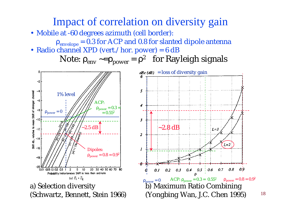#### Impact of correlation on diversity gain

- Mobile at -60 degrees azimuth (cell border):
	- $r_{envelope} = 0.3$  for ACP and 0.8 for slanted dipole antenna
- Radio channel XPD (vert./hor. power) =  $6 dB$

Note:  $\rho_{env} \sim = \rho_{power} = \rho^2$  for Rayleigh signals



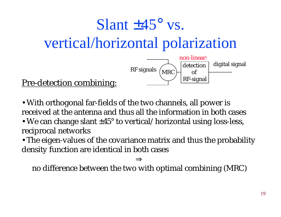# Slant  $\pm 45^{\circ}$  vs. vertical/horizontal polarization



Pre-detection combining:

•With orthogonal far-fields of the two channels, all power is received at the antenna and thus all the information in both cases

• We can change slant  $\pm 45^{\circ}$  to vertical/horizontal using loss-less, reciprocal networks

• The eigen-values of the covariance matrix and thus the probability density function are identical in both cases

#### ⇒

no difference between the two with optimal combining (MRC)